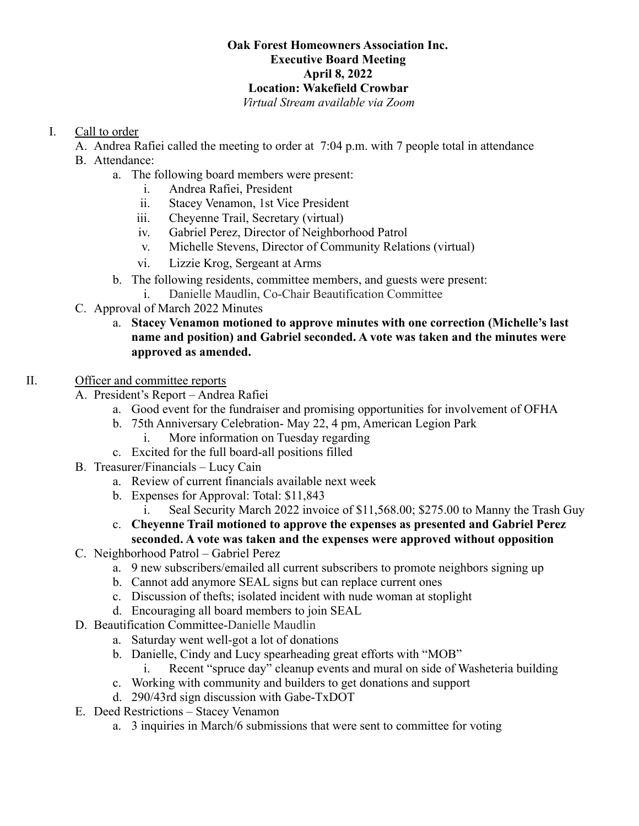## **Oak Forest Homeowners Association Inc. Executive Board Meeting April 8, 2022 Location: Wakefield Crowbar**

*Virtual Stream available via Zoom*

## I. Call to order

- A. Andrea Rafiei called the meeting to order at 7:04 p.m. with 7 people total in attendance
- B. Attendance:
	- a. The following board members were present:
		- i. Andrea Rafiei, President
		- ii. Stacey Venamon, 1st Vice President
		- iii. Cheyenne Trail, Secretary (virtual)
		- iv. Gabriel Perez, Director of Neighborhood Patrol
		- v. Michelle Stevens, Director of Community Relations (virtual)
		- vi. Lizzie Krog, Sergeant at Arms
	- b. The following residents, committee members, and guests were present:
		- i. Danielle Maudlin, Co-Chair Beautification Committee
- C. Approval of March 2022 Minutes
	- a. **Stacey Venamon motioned to approve minutes with one correction (Michelle's last name and position) and Gabriel seconded. A vote was taken and the minutes were approved as amended.**
- II. Officer and committee reports
	- A. President's Report Andrea Rafiei
		- a. Good event for the fundraiser and promising opportunities for involvement of OFHA
		- b. 75th Anniversary Celebration- May 22, 4 pm, American Legion Park
			- i. More information on Tuesday regarding
		- c. Excited for the full board-all positions filled
	- B. Treasurer/Financials Lucy Cain
		- a. Review of current financials available next week
		- b. Expenses for Approval: Total: \$11,843
			- i. Seal Security March 2022 invoice of \$11,568.00; \$275.00 to Manny the Trash Guy
		- c. **Cheyenne Trail motioned to approve the expenses as presented and Gabriel Perez seconded. A vote was taken and the expenses were approved without opposition**
	- C. Neighborhood Patrol Gabriel Perez
		- a. 9 new subscribers/emailed all current subscribers to promote neighbors signing up
		- b. Cannot add anymore SEAL signs but can replace current ones
		- c. Discussion of thefts; isolated incident with nude woman at stoplight
		- d. Encouraging all board members to join SEAL
	- D. Beautification Committee-Danielle Maudlin
		- a. Saturday went well-got a lot of donations
		- b. Danielle, Cindy and Lucy spearheading great efforts with "MOB"
			- i. Recent "spruce day" cleanup events and mural on side of Washeteria building
		- c. Working with community and builders to get donations and support
		- d. 290/43rd sign discussion with Gabe-TxDOT
	- E. Deed Restrictions Stacey Venamon
		- a. 3 inquiries in March/6 submissions that were sent to committee for voting